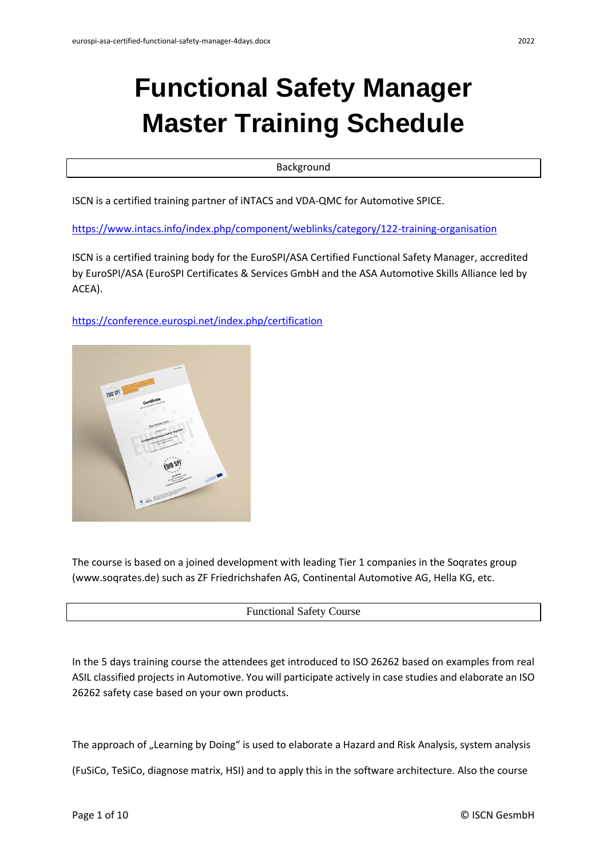# **Functional Safety Manager Master Training Schedule**

Background

ISCN is a certified training partner of iNTACS and VDA-QMC for Automotive SPICE.

<https://www.intacs.info/index.php/component/weblinks/category/122-training-organisation>

ISCN is a certified training body for the EuroSPI/ASA Certified Functional Safety Manager, accredited by EuroSPI/ASA (EuroSPI Certificates & Services GmbH and the ASA Automotive Skills Alliance led by ACEA).

<https://conference.eurospi.net/index.php/certification>



The course is based on a joined development with leading Tier 1 companies in the Soqrates group (www.soqrates.de) such as ZF Friedrichshafen AG, Continental Automotive AG, Hella KG, etc.

#### Functional Safety Course

In the 5 days training course the attendees get introduced to ISO 26262 based on examples from real ASIL classified projects in Automotive. You will participate actively in case studies and elaborate an ISO 26262 safety case based on your own products.

The approach of "Learning by Doing" is used to elaborate a Hazard and Risk Analysis, system analysis

(FuSiCo, TeSiCo, diagnose matrix, HSI) and to apply this in the software architecture. Also the course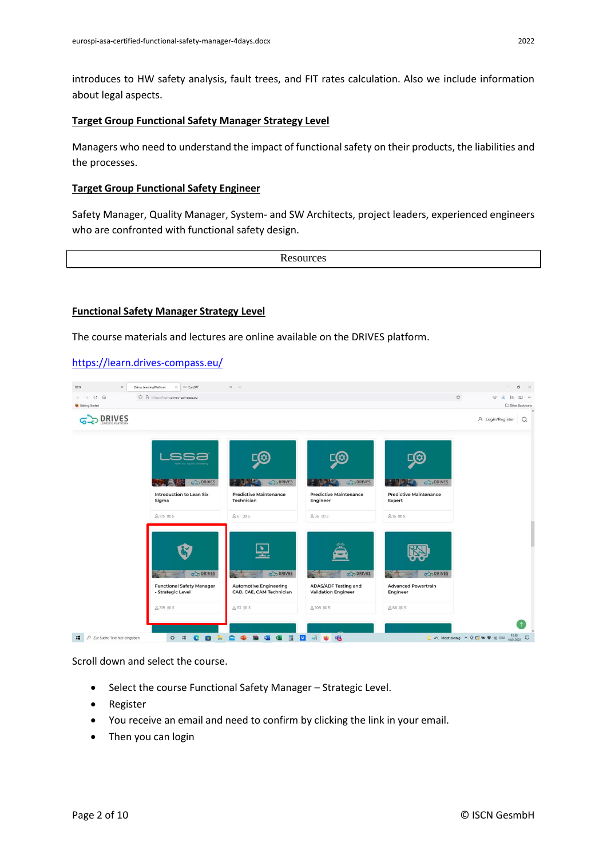introduces to HW safety analysis, fault trees, and FIT rates calculation. Also we include information about legal aspects.

#### **Target Group Functional Safety Manager Strategy Level**

Managers who need to understand the impact of functional safety on their products, the liabilities and the processes.

## **Target Group Functional Safety Engineer**

Safety Manager, Quality Manager, System- and SW Architects, project leaders, experienced engineers who are confronted with functional safety design.

**Resources** 

## **Functional Safety Manager Strategy Level**

The course materials and lectures are online available on the DRIVES platform.

## <https://learn.drives-compass.eu/>



Scroll down and select the course.

- Select the course Functional Safety Manager Strategic Level.
- Register
- You receive an email and need to confirm by clicking the link in your email.
- Then you can login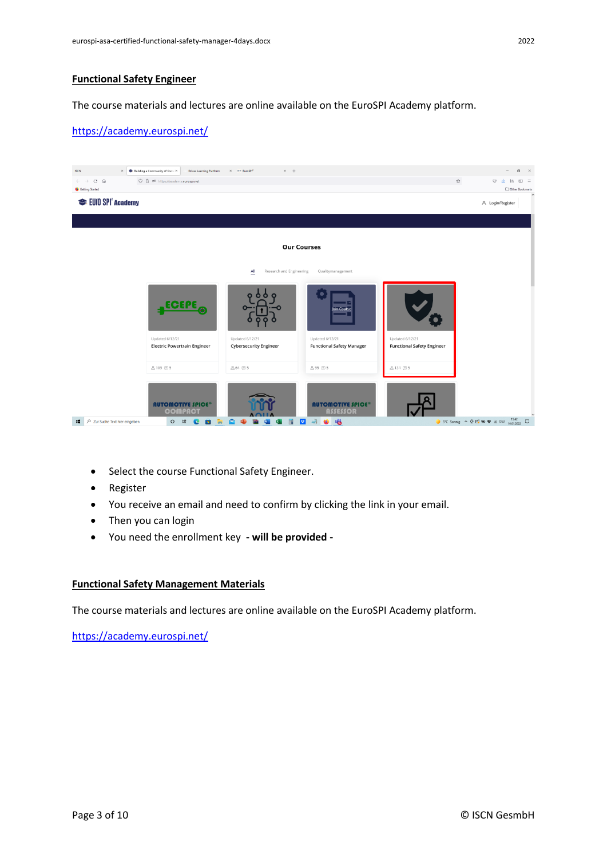# **Functional Safety Engineer**

The course materials and lectures are online available on the EuroSPI Academy platform.

# <https://academy.eurospi.net/>



- Select the course Functional Safety Engineer.
- Register
- You receive an email and need to confirm by clicking the link in your email.
- Then you can login
- You need the enrollment key **- will be provided -**

#### **Functional Safety Management Materials**

The course materials and lectures are online available on the EuroSPI Academy platform.

<https://academy.eurospi.net/>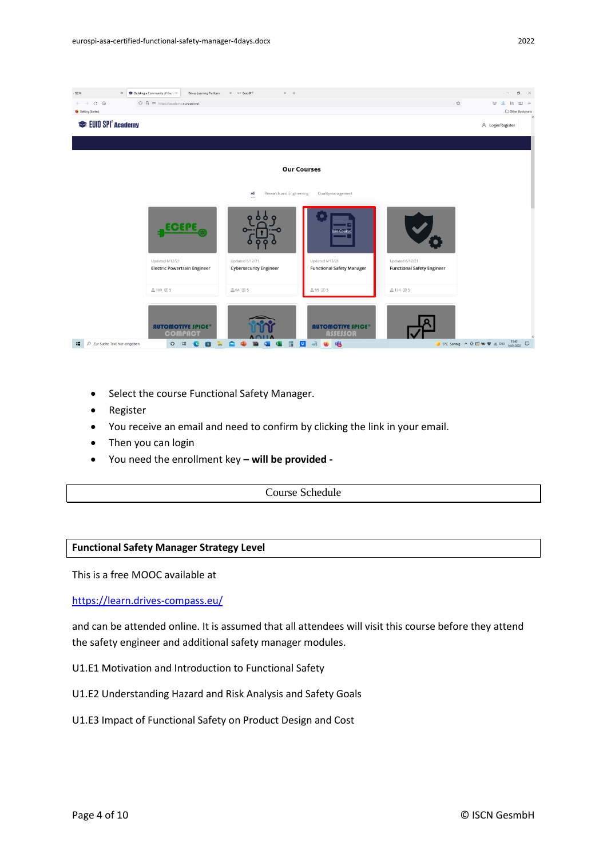

- Select the course Functional Safety Manager.
- Register
- You receive an email and need to confirm by clicking the link in your email.
- Then you can login
- You need the enrollment key **– will be provided -**

Course Schedule

#### **Functional Safety Manager Strategy Level**

This is a free MOOC available at

<https://learn.drives-compass.eu/>

and can be attended online. It is assumed that all attendees will visit this course before they attend the safety engineer and additional safety manager modules.

- U1.E1 Motivation and Introduction to Functional Safety
- U1.E2 Understanding Hazard and Risk Analysis and Safety Goals
- U1.E3 Impact of Functional Safety on Product Design and Cost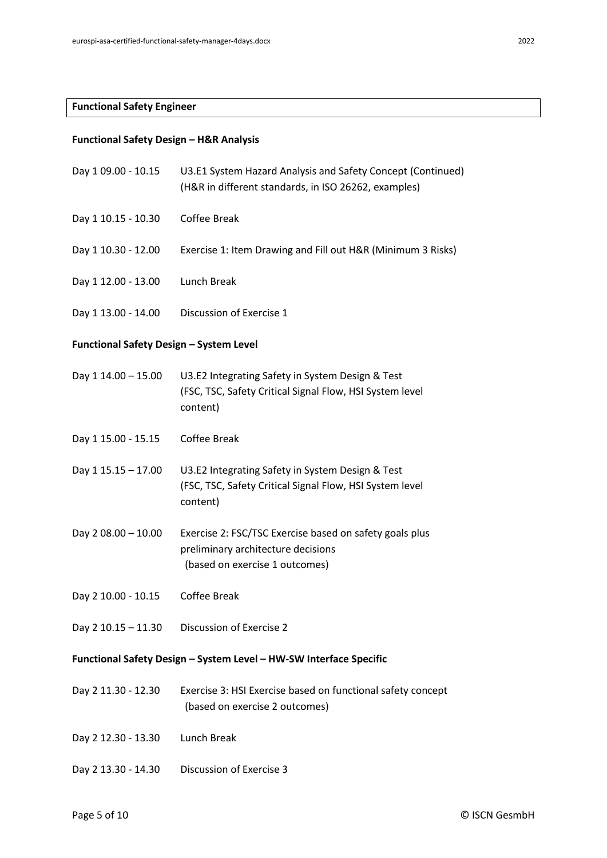# **Functional Safety Engineer**

# **Functional Safety Design – H&R Analysis**

| Day 1 09.00 - 10.15                                                | U3.E1 System Hazard Analysis and Safety Concept (Continued)<br>(H&R in different standards, in ISO 26262, examples)             |  |  |
|--------------------------------------------------------------------|---------------------------------------------------------------------------------------------------------------------------------|--|--|
| Day 1 10.15 - 10.30                                                | Coffee Break                                                                                                                    |  |  |
| Day 1 10.30 - 12.00                                                | Exercise 1: Item Drawing and Fill out H&R (Minimum 3 Risks)                                                                     |  |  |
| Day 1 12.00 - 13.00                                                | Lunch Break                                                                                                                     |  |  |
| Day 1 13.00 - 14.00                                                | Discussion of Exercise 1                                                                                                        |  |  |
| <b>Functional Safety Design - System Level</b>                     |                                                                                                                                 |  |  |
| Day 1 14.00 - 15.00                                                | U3.E2 Integrating Safety in System Design & Test<br>(FSC, TSC, Safety Critical Signal Flow, HSI System level<br>content)        |  |  |
| Day 1 15.00 - 15.15                                                | Coffee Break                                                                                                                    |  |  |
| Day 1 15.15 - 17.00                                                | U3.E2 Integrating Safety in System Design & Test<br>(FSC, TSC, Safety Critical Signal Flow, HSI System level<br>content)        |  |  |
| Day 2 08.00 - 10.00                                                | Exercise 2: FSC/TSC Exercise based on safety goals plus<br>preliminary architecture decisions<br>(based on exercise 1 outcomes) |  |  |
| Day 2 10.00 - 10.15                                                | Coffee Break                                                                                                                    |  |  |
| Day 2 10.15 - 11.30                                                | Discussion of Exercise 2                                                                                                        |  |  |
| Functional Safety Design - System Level - HW-SW Interface Specific |                                                                                                                                 |  |  |
| Day 2 11.30 - 12.30                                                | Exercise 3: HSI Exercise based on functional safety concept<br>(based on exercise 2 outcomes)                                   |  |  |
| Day 2 12.30 - 13.30                                                | Lunch Break                                                                                                                     |  |  |
| Day 2 13.30 - 14.30                                                | Discussion of Exercise 3                                                                                                        |  |  |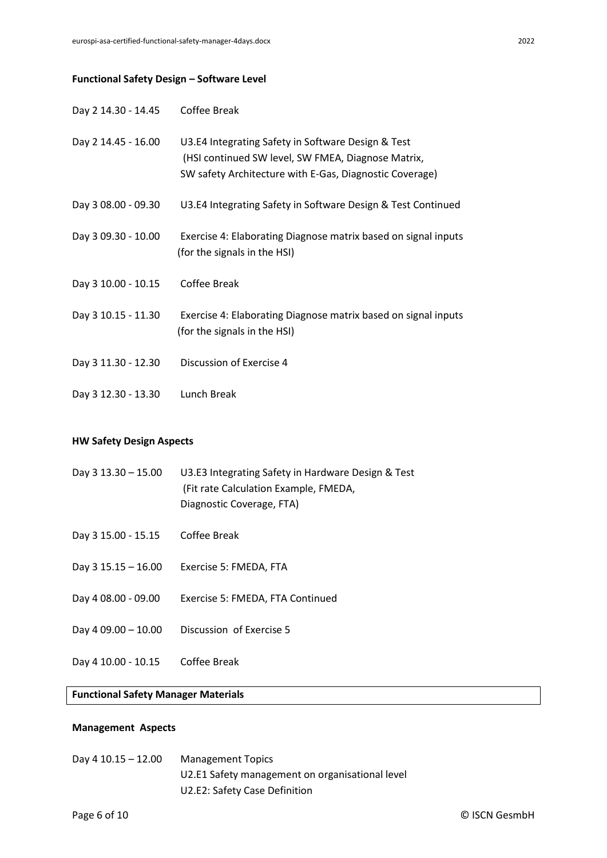# **Functional Safety Design – Software Level**

| Day 2 14.30 - 14.45 | Coffee Break                                                                                                                                                        |
|---------------------|---------------------------------------------------------------------------------------------------------------------------------------------------------------------|
| Day 2 14.45 - 16.00 | U3.E4 Integrating Safety in Software Design & Test<br>(HSI continued SW level, SW FMEA, Diagnose Matrix,<br>SW safety Architecture with E-Gas, Diagnostic Coverage) |
| Day 3 08.00 - 09.30 | U3.E4 Integrating Safety in Software Design & Test Continued                                                                                                        |
| Day 3 09.30 - 10.00 | Exercise 4: Elaborating Diagnose matrix based on signal inputs<br>(for the signals in the HSI)                                                                      |
| Day 3 10.00 - 10.15 | Coffee Break                                                                                                                                                        |
| Day 3 10.15 - 11.30 | Exercise 4: Elaborating Diagnose matrix based on signal inputs<br>(for the signals in the HSI)                                                                      |
| Day 3 11.30 - 12.30 | Discussion of Exercise 4                                                                                                                                            |
| Day 3 12.30 - 13.30 | Lunch Break                                                                                                                                                         |

# **HW Safety Design Aspects**

| Day $3\,13.30 - 15.00$ | U3.E3 Integrating Safety in Hardware Design & Test |
|------------------------|----------------------------------------------------|
|                        | (Fit rate Calculation Example, FMEDA,              |
|                        | Diagnostic Coverage, FTA)                          |
|                        |                                                    |

- Day 3 15.00 15.15 Coffee Break
- Day 3 15.15 16.00 Exercise 5: FMEDA, FTA
- Day 4 08.00 09.00 Exercise 5: FMEDA, FTA Continued
- Day 4 09.00 10.00 Discussion of Exercise 5
- Day 4 10.00 10.15 Coffee Break

#### **Functional Safety Manager Materials**

# **Management Aspects**

Day 4 10.15 – 12.00 Management Topics U2.E1 Safety management on organisational level U2.E2: Safety Case Definition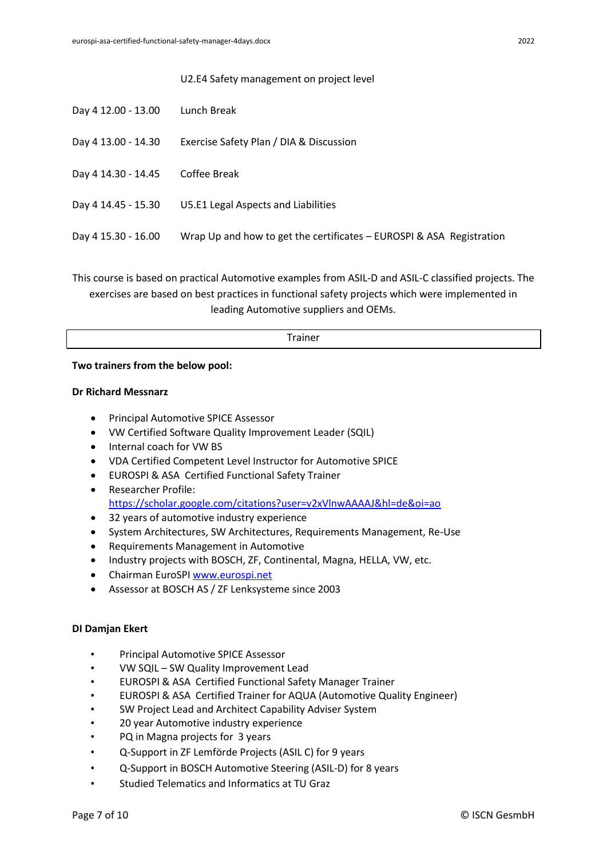#### U2.E4 Safety management on project level

| Day 4 12.00 - 13.00 | Lunch Break                                                          |
|---------------------|----------------------------------------------------------------------|
| Day 4 13.00 - 14.30 | Exercise Safety Plan / DIA & Discussion                              |
| Day 4 14.30 - 14.45 | Coffee Break                                                         |
| Day 4 14.45 - 15.30 | U5.E1 Legal Aspects and Liabilities                                  |
| Day 4 15.30 - 16.00 | Wrap Up and how to get the certificates – EUROSPI & ASA Registration |
|                     |                                                                      |

This course is based on practical Automotive examples from ASIL-D and ASIL-C classified projects. The exercises are based on best practices in functional safety projects which were implemented in leading Automotive suppliers and OEMs.

| <b>The Latin</b> |  |
|------------------|--|
|                  |  |

#### **Two trainers from the below pool:**

#### **Dr Richard Messnarz**

- Principal Automotive SPICE Assessor
- VW Certified Software Quality Improvement Leader (SQIL)
- Internal coach for VW BS
- VDA Certified Competent Level Instructor for Automotive SPICE
- EUROSPI & ASA Certified Functional Safety Trainer
- Researcher Profile: <https://scholar.google.com/citations?user=v2xVlnwAAAAJ&hl=de&oi=ao>
- 32 years of automotive industry experience
- System Architectures, SW Architectures, Requirements Management, Re-Use
- Requirements Management in Automotive
- Industry projects with BOSCH, ZF, Continental, Magna, HELLA, VW, etc.
- Chairman EuroSPI [www.eurospi.net](http://www.eurospi.net/)
- Assessor at BOSCH AS / ZF Lenksysteme since 2003

#### **DI Damjan Ekert**

- Principal Automotive SPICE Assessor
- VW SQIL SW Quality Improvement Lead
- EUROSPI & ASA Certified Functional Safety Manager Trainer
- EUROSPI & ASA Certified Trainer for AQUA (Automotive Quality Engineer)
- SW Project Lead and Architect Capability Adviser System
- 20 year Automotive industry experience
- PQ in Magna projects for 3 years
- Q-Support in ZF Lemförde Projects (ASIL C) for 9 years
- Q-Support in BOSCH Automotive Steering (ASIL-D) for 8 years
- Studied Telematics and Informatics at TU Graz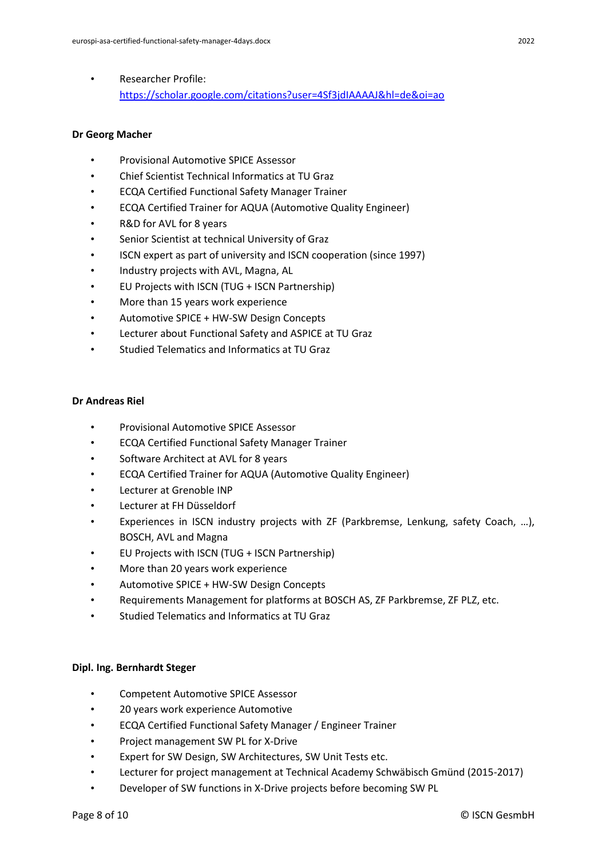• Researcher Profile: <https://scholar.google.com/citations?user=4Sf3jdIAAAAJ&hl=de&oi=ao>

# **Dr Georg Macher**

- Provisional Automotive SPICE Assessor
- Chief Scientist Technical Informatics at TU Graz
- ECQA Certified Functional Safety Manager Trainer
- ECQA Certified Trainer for AQUA (Automotive Quality Engineer)
- R&D for AVL for 8 years
- Senior Scientist at technical University of Graz
- ISCN expert as part of university and ISCN cooperation (since 1997)
- Industry projects with AVL, Magna, AL
- EU Projects with ISCN (TUG + ISCN Partnership)
- More than 15 years work experience
- Automotive SPICE + HW-SW Design Concepts
- Lecturer about Functional Safety and ASPICE at TU Graz
- Studied Telematics and Informatics at TU Graz

# **Dr Andreas Riel**

- Provisional Automotive SPICE Assessor
- ECQA Certified Functional Safety Manager Trainer
- Software Architect at AVL for 8 years
- ECQA Certified Trainer for AQUA (Automotive Quality Engineer)
- Lecturer at Grenoble INP
- Lecturer at FH Düsseldorf
- Experiences in ISCN industry projects with ZF (Parkbremse, Lenkung, safety Coach, ...), BOSCH, AVL and Magna
- EU Projects with ISCN (TUG + ISCN Partnership)
- More than 20 years work experience
- Automotive SPICE + HW-SW Design Concepts
- Requirements Management for platforms at BOSCH AS, ZF Parkbremse, ZF PLZ, etc.
- Studied Telematics and Informatics at TU Graz

# **Dipl. Ing. Bernhardt Steger**

- Competent Automotive SPICE Assessor
- 20 years work experience Automotive
- ECQA Certified Functional Safety Manager / Engineer Trainer
- Project management SW PL for X-Drive
- Expert for SW Design, SW Architectures, SW Unit Tests etc.
- Lecturer for project management at Technical Academy Schwäbisch Gmünd (2015-2017)
- Developer of SW functions in X-Drive projects before becoming SW PL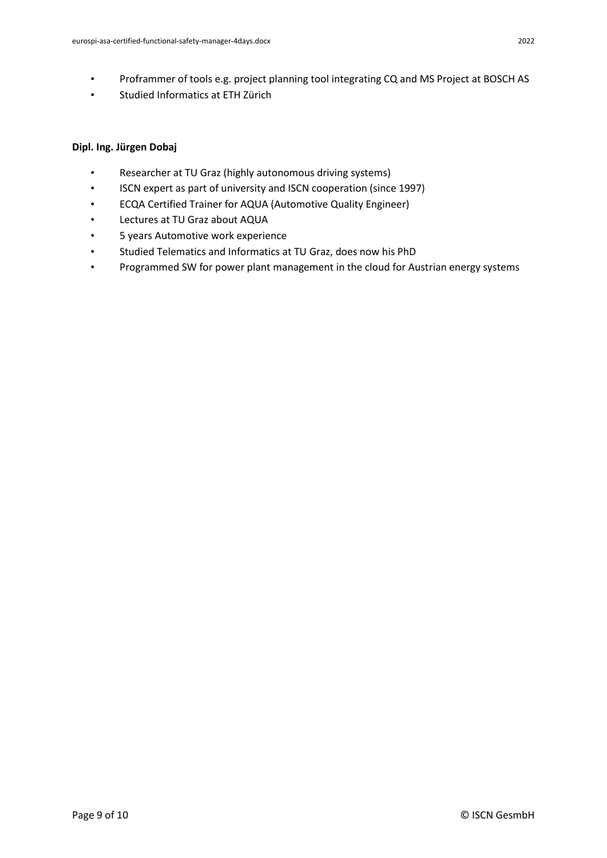- Proframmer of tools e.g. project planning tool integrating CQ and MS Project at BOSCH AS
- Studied Informatics at ETH Zürich

# **Dipl. Ing. Jürgen Dobaj**

- Researcher at TU Graz (highly autonomous driving systems)
- ISCN expert as part of university and ISCN cooperation (since 1997)
- ECQA Certified Trainer for AQUA (Automotive Quality Engineer)
- Lectures at TU Graz about AQUA
- 5 years Automotive work experience
- Studied Telematics and Informatics at TU Graz, does now his PhD
- Programmed SW for power plant management in the cloud for Austrian energy systems